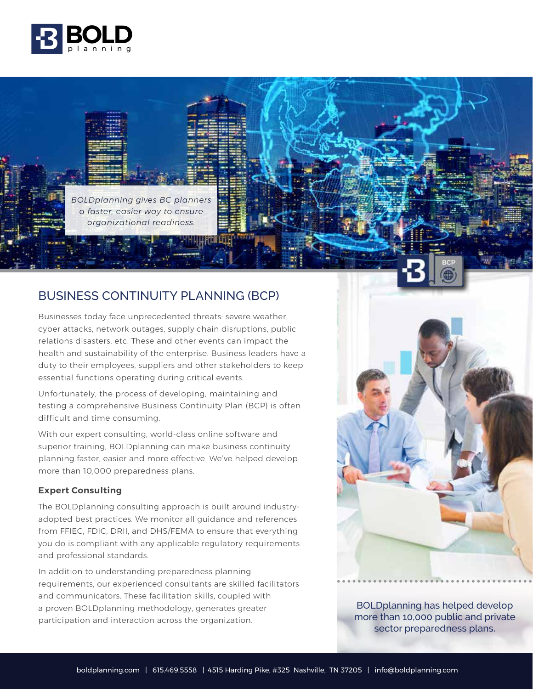

*BOLDplanning gives BC planners a faster, easier way to ensure organizational readiness.*

## BUSINESS CONTINUITY PLANNING (BCP)

Businesses today face unprecedented threats: severe weather, cyber attacks, network outages, supply chain disruptions, public relations disasters, etc. These and other events can impact the health and sustainability of the enterprise. Business leaders have a duty to their employees, suppliers and other stakeholders to keep essential functions operating during critical events.

Unfortunately, the process of developing, maintaining and testing a comprehensive Business Continuity Plan (BCP) is often difficult and time consuming.

With our expert consulting, world-class online software and superior training, BOLDplanning can make business continuity planning faster, easier and more effective. We've helped develop more than 10,000 preparedness plans.

## **Expert Consulting**

The BOLDplanning consulting approach is built around industryadopted best practices. We monitor all guidance and references from FFIEC, FDIC, DRII, and DHS/FEMA to ensure that everything you do is compliant with any applicable regulatory requirements and professional standards.

In addition to understanding preparedness planning requirements, our experienced consultants are skilled facilitators and communicators. These facilitation skills, coupled with a proven BOLDplanning methodology, generates greater participation and interaction across the organization.



BOLDplanning has helped develop more than 10,000 public and private sector preparedness plans.